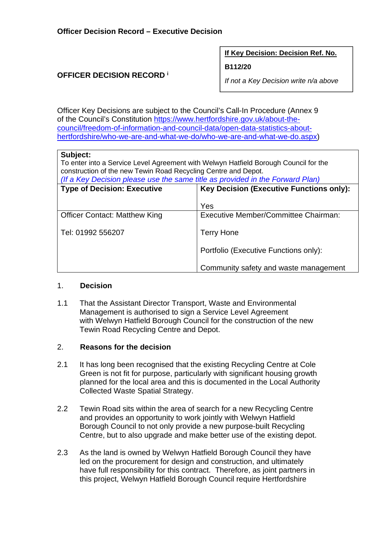#### **If Key Decision: Decision Ref. No.**

#### **B112/20**

## **OFFICER DECISION RECORD <sup>i</sup>**

*If not a Key Decision write n/a above* 

Officer Key Decisions are subject to the Council's Call-In Procedure (Annex 9 of the Council's Constitution https://www.hertfordshire.gov.uk/about-thecouncil/freedom-of-information-and-council-data/open-data-statistics-abouthertfordshire/who-we-are-and-what-we-do/who-we-are-and-what-we-do.aspx)

## **Subject:**

To enter into a Service Level Agreement with Welwyn Hatfield Borough Council for the construction of the new Tewin Road Recycling Centre and Depot.

*(If a Key Decision please use the same title as provided in the Forward Plan)*

| <b>Type of Decision: Executive</b>   | <b>Key Decision (Executive Functions only):</b> |  |
|--------------------------------------|-------------------------------------------------|--|
|                                      | Yes                                             |  |
| <b>Officer Contact: Matthew King</b> | Executive Member/Committee Chairman:            |  |
| Tel: 01992 556207                    | <b>Terry Hone</b>                               |  |
|                                      | Portfolio (Executive Functions only):           |  |
|                                      | Community safety and waste management           |  |

## 1. **Decision**

1.1 That the Assistant Director Transport, Waste and Environmental Management is authorised to sign a Service Level Agreement with Welwyn Hatfield Borough Council for the construction of the new Tewin Road Recycling Centre and Depot.

## 2. **Reasons for the decision**

- 2.1 It has long been recognised that the existing Recycling Centre at Cole Green is not fit for purpose, particularly with significant housing growth planned for the local area and this is documented in the Local Authority Collected Waste Spatial Strategy.
- 2.2 Tewin Road sits within the area of search for a new Recycling Centre and provides an opportunity to work jointly with Welwyn Hatfield Borough Council to not only provide a new purpose-built Recycling Centre, but to also upgrade and make better use of the existing depot.
- 2.3 As the land is owned by Welwyn Hatfield Borough Council they have led on the procurement for design and construction, and ultimately have full responsibility for this contract. Therefore, as joint partners in this project, Welwyn Hatfield Borough Council require Hertfordshire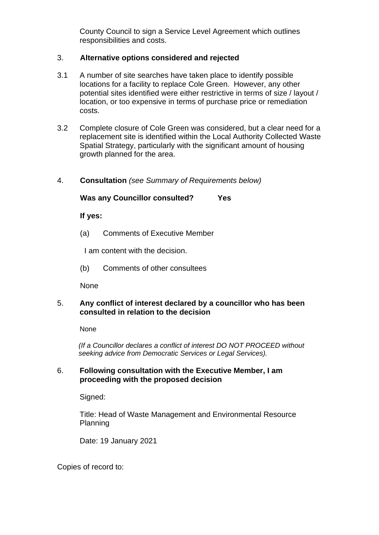County Council to sign a Service Level Agreement which outlines responsibilities and costs.

# 3. **Alternative options considered and rejected**

- 3.1 A number of site searches have taken place to identify possible locations for a facility to replace Cole Green. However, any other potential sites identified were either restrictive in terms of size / layout / location, or too expensive in terms of purchase price or remediation costs.
- 3.2 Complete closure of Cole Green was considered, but a clear need for a replacement site is identified within the Local Authority Collected Waste Spatial Strategy, particularly with the significant amount of housing growth planned for the area.
- 4. **Consultation** *(see Summary of Requirements below)*

## **Was any Councillor consulted? Yes**

**If yes:** 

(a) Comments of Executive Member

I am content with the decision.

(b) Comments of other consultees

None

## 5. **Any conflict of interest declared by a councillor who has been consulted in relation to the decision**

None

 *(If a Councillor declares a conflict of interest DO NOT PROCEED without seeking advice from Democratic Services or Legal Services).* 

## 6. **Following consultation with the Executive Member, I am proceeding with the proposed decision**

Signed:

Title: Head of Waste Management and Environmental Resource Planning

Date: 19 January 2021

Copies of record to: